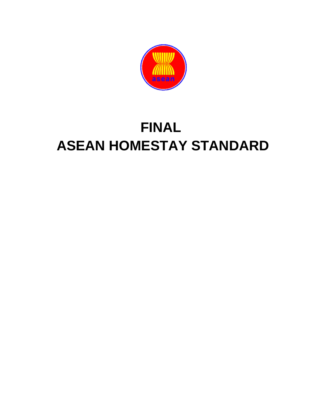

# **FINAL ASEAN HOMESTAY STANDARD**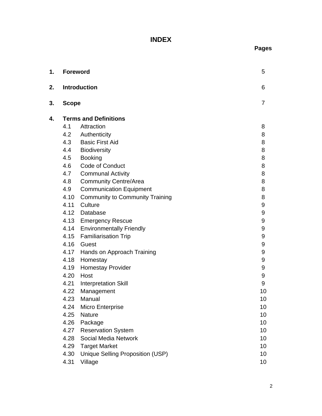# **INDEX**

2

| 1. | <b>Foreword</b>              |                                        | 5              |  |
|----|------------------------------|----------------------------------------|----------------|--|
| 2. |                              | <b>Introduction</b>                    | 6              |  |
| 3. | <b>Scope</b>                 |                                        | $\overline{7}$ |  |
| 4. | <b>Terms and Definitions</b> |                                        |                |  |
|    | 4.1                          | Attraction                             | 8              |  |
|    |                              | 4.2 Authenticity                       | 8              |  |
|    |                              | 4.3 Basic First Aid                    | 8              |  |
|    |                              | 4.4 Biodiversity                       | 8              |  |
|    | 4.5                          | <b>Booking</b>                         | 8              |  |
|    | 4.6                          | <b>Code of Conduct</b>                 | 8              |  |
|    | 4.7                          | <b>Communal Activity</b>               | 8              |  |
|    | 4.8                          | <b>Community Centre/Area</b>           | 8              |  |
|    | 4.9                          | <b>Communication Equipment</b>         | 8              |  |
|    | 4.10                         | <b>Community to Community Training</b> | 8              |  |
|    | 4.11                         | Culture                                | 9              |  |
|    |                              | 4.12 Database                          | 9              |  |
|    |                              | 4.13 Emergency Rescue                  | 9              |  |
|    |                              | 4.14 Environmentally Friendly          | 9              |  |
|    | 4.15                         | <b>Familiarisation Trip</b>            | 9              |  |
|    | 4.16                         | Guest                                  | 9              |  |
|    |                              | 4.17 Hands on Approach Training        | 9              |  |
|    | 4.18                         | Homestay                               | 9              |  |
|    | 4.19                         | <b>Homestay Provider</b>               | 9              |  |
|    | 4.20                         | Host                                   | 9              |  |
|    | 4.21                         | <b>Interpretation Skill</b>            | 9              |  |
|    | 4.22                         | Management                             | 10             |  |
|    | 4.23                         | Manual                                 | 10             |  |
|    | 4.24                         | Micro Enterprise                       | 10             |  |
|    | 4.25                         | Nature                                 | 10             |  |
|    | 4.26                         | Package                                | 10             |  |
|    | 4.27                         | <b>Reservation System</b>              | 10             |  |
|    | 4.28                         | Social Media Network                   | 10             |  |
|    | 4.29                         | <b>Target Market</b>                   | 10             |  |
|    | 4.30                         | Unique Selling Proposition (USP)       | 10             |  |
|    | 4.31                         | Village                                | 10             |  |

- 
- 

## **4. Terms and Definitions**

**Pages**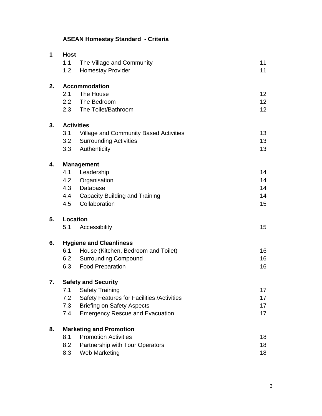# **ASEAN Homestay Standard - Criteria**

| 1  | <b>Host</b>                    |                                                   |                 |  |  |
|----|--------------------------------|---------------------------------------------------|-----------------|--|--|
|    | 1.1                            | The Village and Community                         | 11              |  |  |
|    | 1.2                            | <b>Homestay Provider</b>                          | 11              |  |  |
| 2. | <b>Accommodation</b>           |                                                   |                 |  |  |
|    | 2.1                            | The House                                         | 12 <sub>2</sub> |  |  |
|    |                                | 2.2 The Bedroom                                   | 12 <sub>2</sub> |  |  |
|    |                                | 2.3 The Toilet/Bathroom                           | 12              |  |  |
| 3. | <b>Activities</b>              |                                                   |                 |  |  |
|    | 3.1                            | Village and Community Based Activities            | 13              |  |  |
|    | 3.2                            | <b>Surrounding Activities</b>                     | 13              |  |  |
|    | 3.3                            | Authenticity                                      | 13              |  |  |
| 4. | <b>Management</b>              |                                                   |                 |  |  |
|    | 4.1                            | Leadership                                        | 14              |  |  |
|    | 4.2                            | Organisation                                      | 14              |  |  |
|    |                                | 4.3 Database                                      | 14              |  |  |
|    |                                | 4.4 Capacity Building and Training                | 14              |  |  |
|    | 4.5                            | Collaboration                                     | 15              |  |  |
| 5. | Location                       |                                                   |                 |  |  |
|    | 5.1                            | Accessibility                                     | 15              |  |  |
| 6. | <b>Hygiene and Cleanliness</b> |                                                   |                 |  |  |
|    | 6.1                            | House (Kitchen, Bedroom and Toilet)               | 16              |  |  |
|    | 6.2                            | <b>Surrounding Compound</b>                       | 16              |  |  |
|    | 6.3                            | <b>Food Preparation</b>                           | 16              |  |  |
| 7. | <b>Safety and Security</b>     |                                                   |                 |  |  |
|    | 7.1                            | <b>Safety Training</b>                            | 17              |  |  |
|    | 7.2                            | <b>Safety Features for Facilities /Activities</b> | 17              |  |  |
|    | 7.3                            | <b>Briefing on Safety Aspects</b>                 | 17              |  |  |
|    | 7.4                            | <b>Emergency Rescue and Evacuation</b>            | 17              |  |  |
| 8. | <b>Marketing and Promotion</b> |                                                   |                 |  |  |
|    | 8.1                            | <b>Promotion Activities</b>                       | 18              |  |  |
|    | 8.2                            | Partnership with Tour Operators                   | 18              |  |  |
|    | 8.3                            | Web Marketing                                     | 18              |  |  |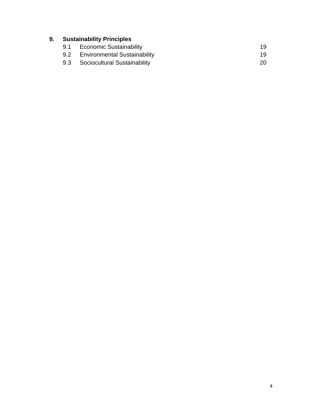# **9. Sustainability Principles**

- 9.1 Economic Sustainability<br>
9.2 Environmental Sustainability<br>
19
	- 9.2 Environmental Sustainability<br>
	9.3 Sociocultural Sustainability<br>
	20
	- Sociocultural Sustainability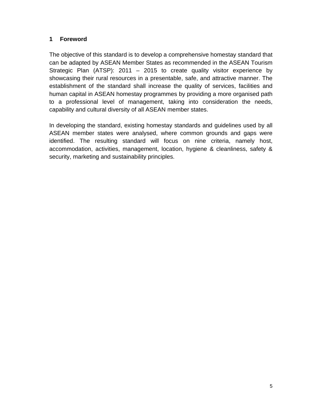### **1 Foreword**

The objective of this standard is to develop a comprehensive homestay standard that can be adapted by ASEAN Member States as recommended in the ASEAN Tourism Strategic Plan (ATSP): 2011 – 2015 to create quality visitor experience by showcasing their rural resources in a presentable, safe, and attractive manner. The establishment of the standard shall increase the quality of services, facilities and human capital in ASEAN homestay programmes by providing a more organised path to a professional level of management, taking into consideration the needs, capability and cultural diversity of all ASEAN member states.

In developing the standard, existing homestay standards and guidelines used by all ASEAN member states were analysed, where common grounds and gaps were identified. The resulting standard will focus on nine criteria, namely host, accommodation, activities, management, location, hygiene & cleanliness, safety & security, marketing and sustainability principles.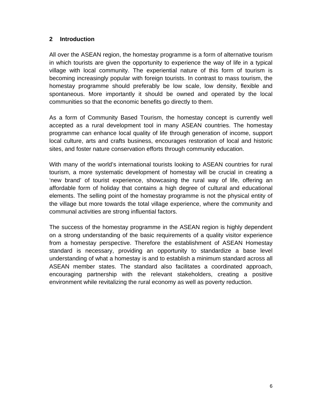### **2 Introduction**

All over the ASEAN region, the homestay programme is a form of alternative tourism in which tourists are given the opportunity to experience the way of life in a typical village with local community. The experiential nature of this form of tourism is becoming increasingly popular with foreign tourists. In contrast to mass tourism, the homestay programme should preferably be low scale, low density, flexible and spontaneous. More importantly it should be owned and operated by the local communities so that the economic benefits go directly to them.

As a form of Community Based Tourism, the homestay concept is currently well accepted as a rural development tool in many ASEAN countries. The homestay programme can enhance local quality of life through generation of income, support local culture, arts and crafts business, encourages restoration of local and historic sites, and foster nature conservation efforts through community education.

With many of the world's international tourists looking to ASEAN countries for rural tourism, a more systematic development of homestay will be crucial in creating a 'new brand' of tourist experience, showcasing the rural way of life, offering an affordable form of holiday that contains a high degree of cultural and educational elements. The selling point of the homestay programme is not the physical entity of the village but more towards the total village experience, where the community and communal activities are strong influential factors.

The success of the homestay programme in the ASEAN region is highly dependent on a strong understanding of the basic requirements of a quality visitor experience from a homestay perspective. Therefore the establishment of ASEAN Homestay standard is necessary, providing an opportunity to standardize a base level understanding of what a homestay is and to establish a minimum standard across all ASEAN member states. The standard also facilitates a coordinated approach, encouraging partnership with the relevant stakeholders, creating a positive environment while revitalizing the rural economy as well as poverty reduction.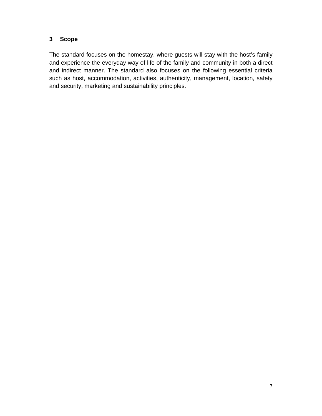### **3 Scope**

The standard focuses on the homestay, where guests will stay with the host's family and experience the everyday way of life of the family and community in both a direct and indirect manner. The standard also focuses on the following essential criteria such as host, accommodation, activities, authenticity, management, location, safety and security, marketing and sustainability principles.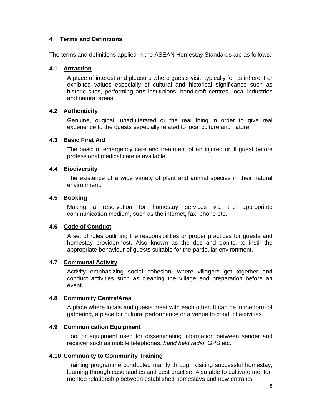#### **4 Terms and Definitions**

The terms and definitions applied in the ASEAN Homestay Standards are as follows:

#### **4.1 Attraction**

A place of interest and pleasure where guests visit, typically for its inherent or exhibited values especially of cultural and historical significance such as historic sites, performing arts institutions, handicraft centres, local industries and natural areas.

#### **4.2 Authenticity**

Genuine, original, unadulterated or the real thing in order to give real experience to the guests especially related to local culture and nature.

#### **4.3 Basic First Aid**

The basic of emergency care and treatment of an injured or ill guest before professional medical care is available.

#### **4.4 Biodiversity**

The existence of a wide variety of plant and animal species in their natural environment.

#### **4.5 Booking**

Making a reservation for homestay services via the appropriate communication medium, such as the internet, fax, phone etc.

#### **4.6 Code of Conduct**

A set of rules outlining the responsibilities or proper practices for guests and homestay provider/host. Also known as the dos and don'ts, to instil the appropriate behaviour of guests suitable for the particular environment.

#### **4.7 Communal Activity**

Activity emphasizing social cohesion, where villagers get together and conduct activities such as cleaning the village and preparation before an event.

#### **4.8 Community Centre/Area**

A place where locals and guests meet with each other. It can be in the form of gathering, a place for cultural performance or a venue to conduct activities.

#### **4.9 Communication Equipment**

Tool or equipment used for disseminating information between sender and receiver such as mobile telephones, *hand held radio*, GPS etc.

#### **4.10 Community to Community Training**

Training programme conducted mainly through visiting successful homestay, learning through case studies and best practise. Also able to cultivate mentormentee relationship between established homestays and new entrants.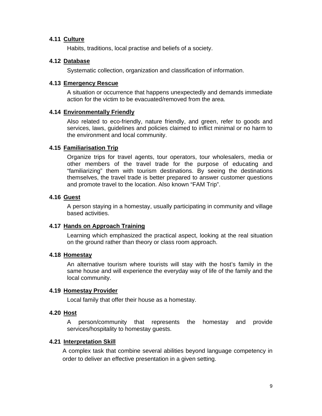#### **4.11 Culture**

Habits, traditions, local practise and beliefs of a society.

#### **4.12 Database**

Systematic collection, organization and classification of information.

#### **4.13 Emergency Rescue**

A situation or occurrence that happens unexpectedly and demands immediate action for the victim to be evacuated/removed from the area.

#### **4.14 Environmentally Friendly**

Also related to eco-friendly, nature friendly, and green, refer to goods and services, laws, guidelines and policies claimed to inflict minimal or no harm to the environment and local community.

#### **4.15 Familiarisation Trip**

Organize trips for travel agents, tour operators, tour wholesalers, media or other members of the travel trade for the purpose of educating and "familiarizing" them with tourism destinations. By seeing the destinations themselves, the travel trade is better prepared to answer customer questions and promote travel to the location. Also known "FAM Trip".

#### **4.16 Guest**

A person staying in a homestay, usually participating in community and village based activities.

#### **4.17 Hands on Approach Training**

Learning which emphasized the practical aspect, looking at the real situation on the ground rather than theory or class room approach.

#### **4.18 Homestay**

An alternative tourism where tourists will stay with the host's family in the same house and will experience the everyday way of life of the family and the local community.

#### **4.19 Homestay Provider**

Local family that offer their house as a homestay.

#### **4.20 Host**

A person/community that represents the homestay and provide services/hospitality to homestay guests.

#### **4.21 Interpretation Skill**

A complex task that combine several abilities beyond language competency in order to deliver an effective presentation in a given setting.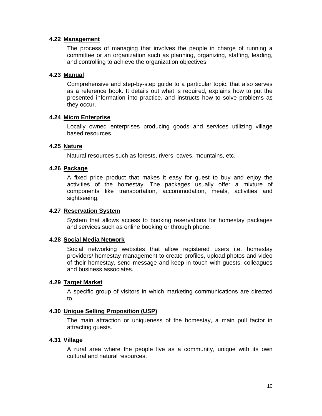#### **4.22 Management**

The process of managing that involves the people in charge of running a committee or an organization such as planning, organizing, staffing, leading, and controlling to achieve the organization objectives.

#### **4.23 Manual**

Comprehensive and step-by-step guide to a particular topic, that also serves as a reference book. It details out what is required, explains how to put the presented information into practice, and instructs how to solve problems as they occur.

#### **4.24 Micro Enterprise**

Locally owned enterprises producing goods and services utilizing village based resources.

#### **4.25 Nature**

Natural resources such as forests, rivers, caves, mountains, etc.

#### **4.26 Package**

A fixed price product that makes it easy for guest to buy and enjoy the activities of the homestay. The packages usually offer a mixture of components like transportation, accommodation, meals, activities and sightseeing.

#### **4.27 Reservation System**

System that allows access to booking reservations for homestay packages and services such as online booking or through phone.

#### **4.28 Social Media Network**

Social networking websites that allow registered users i.e. homestay providers/ homestay management to create profiles, upload photos and video of their homestay, send message and keep in touch with guests, colleagues and business associates.

#### **4.29 Target Market**

A specific group of visitors in which marketing communications are directed to.

#### **4.30 Unique Selling Proposition (USP)**

The main attraction or uniqueness of the homestay, a main pull factor in attracting guests.

#### **4.31 Village**

A rural area where the people live as a community, unique with its own cultural and natural resources.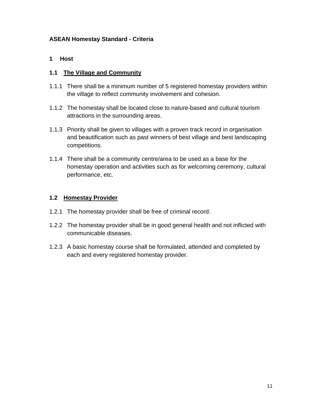#### **ASEAN Homestay Standard - Criteria**

#### **1 Host**

#### **1.1 The Village and Community**

- 1.1.1 There shall be a minimum number of 5 registered homestay providers within the village to reflect community involvement and cohesion.
- 1.1.2 The homestay shall be located close to nature-based and cultural tourism attractions in the surrounding areas.
- 1.1.3 Priority shall be given to villages with a proven track record in organisation and beautification such as past winners of best village and best landscaping competitions.
- 1.1.4 There shall be a community centre/area to be used as a base for the homestay operation and activities such as for welcoming ceremony, cultural performance, etc.

#### **1.2 Homestay Provider**

- 1.2.1 The homestay provider shall be free of criminal record.
- 1.2.2 The homestay provider shall be in good general health and not inflicted with communicable diseases.
- 1.2.3 A basic homestay course shall be formulated, attended and completed by each and every registered homestay provider.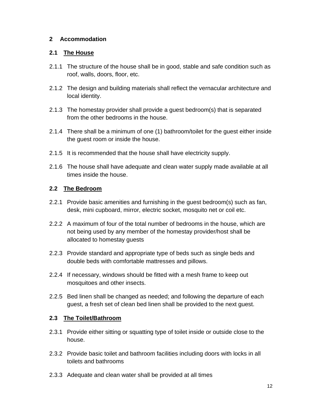#### **2 Accommodation**

#### **2.1 The House**

- 2.1.1 The structure of the house shall be in good, stable and safe condition such as roof, walls, doors, floor, etc.
- 2.1.2 The design and building materials shall reflect the vernacular architecture and local identity.
- 2.1.3 The homestay provider shall provide a guest bedroom(s) that is separated from the other bedrooms in the house.
- 2.1.4 There shall be a minimum of one (1) bathroom/toilet for the guest either inside the guest room or inside the house.
- 2.1.5 It is recommended that the house shall have electricity supply.
- 2.1.6 The house shall have adequate and clean water supply made available at all times inside the house.

#### **2.2 The Bedroom**

- 2.2.1 Provide basic amenities and furnishing in the guest bedroom(s) such as fan, desk, mini cupboard, mirror, electric socket, mosquito net or coil etc.
- 2.2.2 A maximum of four of the total number of bedrooms in the house, which are not being used by any member of the homestay provider/host shall be allocated to homestay guests
- 2.2.3 Provide standard and appropriate type of beds such as single beds and double beds with comfortable mattresses and pillows.
- 2.2.4 If necessary, windows should be fitted with a mesh frame to keep out mosquitoes and other insects.
- 2.2.5 Bed linen shall be changed as needed; and following the departure of each guest, a fresh set of clean bed linen shall be provided to the next guest.

#### **2.3 The Toilet/Bathroom**

- 2.3.1 Provide either sitting or squatting type of toilet inside or outside close to the house.
- 2.3.2 Provide basic toilet and bathroom facilities including doors with locks in all toilets and bathrooms
- 2.3.3 Adequate and clean water shall be provided at all times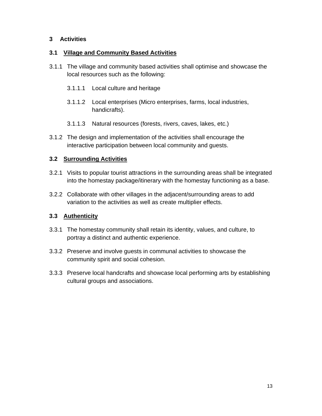#### **3 Activities**

#### **3.1 Village and Community Based Activities**

- 3.1.1 The village and community based activities shall optimise and showcase the local resources such as the following:
	- 3.1.1.1 Local culture and heritage
	- 3.1.1.2 Local enterprises (Micro enterprises, farms, local industries, handicrafts).
	- 3.1.1.3 Natural resources (forests, rivers, caves, lakes, etc.)
- 3.1.2 The design and implementation of the activities shall encourage the interactive participation between local community and guests.

#### **3.2 Surrounding Activities**

- 3.2.1 Visits to popular tourist attractions in the surrounding areas shall be integrated into the homestay package/itinerary with the homestay functioning as a base.
- 3.2.2 Collaborate with other villages in the adjacent/surrounding areas to add variation to the activities as well as create multiplier effects.

#### **3.3 Authenticity**

- 3.3.1 The homestay community shall retain its identity, values, and culture, to portray a distinct and authentic experience.
- 3.3.2 Preserve and involve guests in communal activities to showcase the community spirit and social cohesion.
- 3.3.3 Preserve local handcrafts and showcase local performing arts by establishing cultural groups and associations.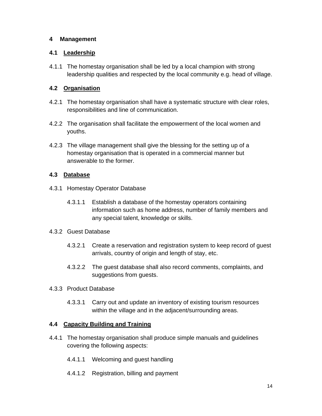#### **4 Management**

#### **4.1 Leadership**

4.1.1 The homestay organisation shall be led by a local champion with strong leadership qualities and respected by the local community e.g. head of village.

#### **4.2 Organisation**

- 4.2.1 The homestay organisation shall have a systematic structure with clear roles, responsibilities and line of communication.
- 4.2.2 The organisation shall facilitate the empowerment of the local women and youths.
- 4.2.3 The village management shall give the blessing for the setting up of a homestay organisation that is operated in a commercial manner but answerable to the former.

### **4.3 Database**

- 4.3.1 Homestay Operator Database
	- 4.3.1.1 Establish a database of the homestay operators containing information such as home address, number of family members and any special talent, knowledge or skills.

#### 4.3.2 Guest Database

- 4.3.2.1 Create a reservation and registration system to keep record of guest arrivals, country of origin and length of stay, etc.
- 4.3.2.2 The guest database shall also record comments, complaints, and suggestions from guests.
- 4.3.3 Product Database
	- 4.3.3.1 Carry out and update an inventory of existing tourism resources within the village and in the adjacent/surrounding areas.

#### **4.4 Capacity Building and Training**

- 4.4.1 The homestay organisation shall produce simple manuals and guidelines covering the following aspects:
	- 4.4.1.1 Welcoming and guest handling
	- 4.4.1.2 Registration, billing and payment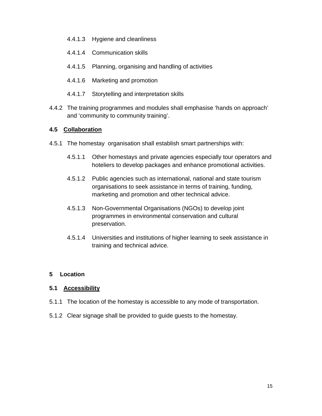- 4.4.1.3 Hygiene and cleanliness
- 4.4.1.4 Communication skills
- 4.4.1.5 Planning, organising and handling of activities
- 4.4.1.6 Marketing and promotion
- 4.4.1.7 Storytelling and interpretation skills
- 4.4.2 The training programmes and modules shall emphasise 'hands on approach' and 'community to community training'.

#### **4.5 Collaboration**

- 4.5.1 The homestay organisation shall establish smart partnerships with:
	- 4.5.1.1 Other homestays and private agencies especially tour operators and hoteliers to develop packages and enhance promotional activities.
	- 4.5.1.2 Public agencies such as international, national and state tourism organisations to seek assistance in terms of training, funding, marketing and promotion and other technical advice.
	- 4.5.1.3 Non-Governmental Organisations (NGOs) to develop joint programmes in environmental conservation and cultural preservation.
	- 4.5.1.4 Universities and institutions of higher learning to seek assistance in training and technical advice.

#### **5 Location**

#### **5.1 Accessibility**

- 5.1.1 The location of the homestay is accessible to any mode of transportation.
- 5.1.2 Clear signage shall be provided to guide guests to the homestay.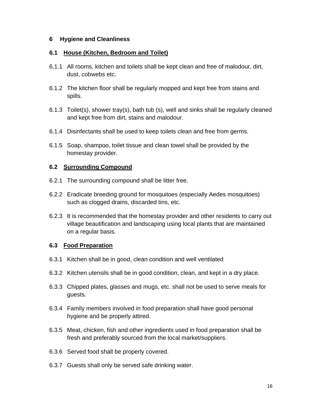#### **6 Hygiene and Cleanliness**

#### **6.1 House (Kitchen, Bedroom and Toilet)**

- 6.1.1 All rooms, kitchen and toilets shall be kept clean and free of malodour, dirt, dust, cobwebs etc.
- 6.1.2 The kitchen floor shall be regularly mopped and kept free from stains and spills.
- 6.1.3 Toilet(s), shower tray(s), bath tub (s), well and sinks shall be regularly cleaned and kept free from dirt, stains and malodour.
- 6.1.4 Disinfectants shall be used to keep toilets clean and free from germs.
- 6.1.5 Soap, shampoo, toilet tissue and clean towel shall be provided by the homestay provider.

#### **6.2 Surrounding Compound**

- 6.2.1 The surrounding compound shall be litter free.
- 6.2.2 Eradicate breeding ground for mosquitoes (especially Aedes mosquitoes) such as clogged drains, discarded tins, etc.
- 6.2.3 It is recommended that the homestay provider and other residents to carry out village beautification and landscaping using local plants that are maintained on a regular basis.

#### **6.3 Food Preparation**

- 6.3.1 Kitchen shall be in good, clean condition and well ventilated
- 6.3.2 Kitchen utensils shall be in good condition, clean, and kept in a dry place.
- 6.3.3 Chipped plates, glasses and mugs, etc. shall not be used to serve meals for guests.
- 6.3.4 Family members involved in food preparation shall have good personal hygiene and be properly attired.
- 6.3.5 Meat, chicken, fish and other ingredients used in food preparation shall be fresh and preferably sourced from the local market/suppliers.
- 6.3.6 Served food shall be properly covered.
- 6.3.7 Guests shall only be served safe drinking water.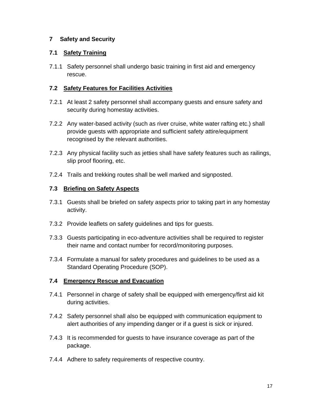#### **7 Safety and Security**

#### **7.1 Safety Training**

7.1.1 Safety personnel shall undergo basic training in first aid and emergency rescue.

#### **7.2 Safety Features for Facilities Activities**

- 7.2.1 At least 2 safety personnel shall accompany guests and ensure safety and security during homestay activities.
- 7.2.2 Any water-based activity (such as river cruise, white water rafting etc.) shall provide guests with appropriate and sufficient safety attire/equipment recognised by the relevant authorities.
- 7.2.3 Any physical facility such as jetties shall have safety features such as railings, slip proof flooring, etc.
- 7.2.4 Trails and trekking routes shall be well marked and signposted.

#### **7.3 Briefing on Safety Aspects**

- 7.3.1 Guests shall be briefed on safety aspects prior to taking part in any homestay activity.
- 7.3.2 Provide leaflets on safety guidelines and tips for guests.
- 7.3.3 Guests participating in eco-adventure activities shall be required to register their name and contact number for record/monitoring purposes.
- 7.3.4 Formulate a manual for safety procedures and guidelines to be used as a Standard Operating Procedure (SOP).

#### **7.4 Emergency Rescue and Evacuation**

- 7.4.1 Personnel in charge of safety shall be equipped with emergency/first aid kit during activities.
- 7.4.2 Safety personnel shall also be equipped with communication equipment to alert authorities of any impending danger or if a guest is sick or injured.
- 7.4.3 It is recommended for guests to have insurance coverage as part of the package.
- 7.4.4 Adhere to safety requirements of respective country.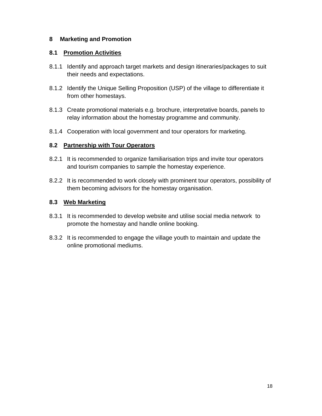#### **8 Marketing and Promotion**

#### **8.1 Promotion Activities**

- 8.1.1 Identify and approach target markets and design itineraries/packages to suit their needs and expectations.
- 8.1.2 Identify the Unique Selling Proposition (USP) of the village to differentiate it from other homestays.
- 8.1.3 Create promotional materials e.g. brochure, interpretative boards, panels to relay information about the homestay programme and community.
- 8.1.4 Cooperation with local government and tour operators for marketing.

#### **8.2 Partnership with Tour Operators**

- 8.2.1 It is recommended to organize familiarisation trips and invite tour operators and tourism companies to sample the homestay experience.
- 8.2.2 It is recommended to work closely with prominent tour operators, possibility of them becoming advisors for the homestay organisation.

#### **8.3 Web Marketing**

- 8.3.1 It is recommended to develop website and utilise social media network to promote the homestay and handle online booking.
- 8.3.2 It is recommended to engage the village youth to maintain and update the online promotional mediums.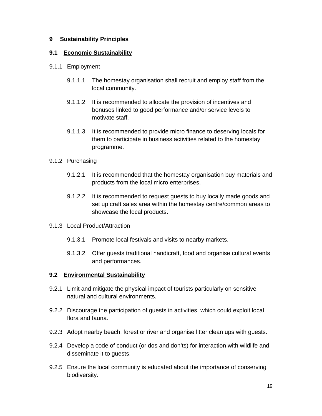#### **9 Sustainability Principles**

#### **9.1 Economic Sustainability**

- 9.1.1 Employment
	- 9.1.1.1 The homestay organisation shall recruit and employ staff from the local community.
	- 9.1.1.2 It is recommended to allocate the provision of incentives and bonuses linked to good performance and/or service levels to motivate staff.
	- 9.1.1.3 It is recommended to provide micro finance to deserving locals for them to participate in business activities related to the homestay programme.

#### 9.1.2 Purchasing

- 9.1.2.1 It is recommended that the homestay organisation buy materials and products from the local micro enterprises.
- 9.1.2.2 It is recommended to request guests to buy locally made goods and set up craft sales area within the homestay centre/common areas to showcase the local products.
- 9.1.3 Local Product/Attraction
	- 9.1.3.1 Promote local festivals and visits to nearby markets.
	- 9.1.3.2 Offer guests traditional handicraft, food and organise cultural events and performances.

#### **9.2 Environmental Sustainability**

- 9.2.1 Limit and mitigate the physical impact of tourists particularly on sensitive natural and cultural environments.
- 9.2.2 Discourage the participation of guests in activities, which could exploit local flora and fauna.
- 9.2.3 Adopt nearby beach, forest or river and organise litter clean ups with guests.
- 9.2.4 Develop a code of conduct (or dos and don'ts) for interaction with wildlife and disseminate it to guests.
- 9.2.5 Ensure the local community is educated about the importance of conserving biodiversity.